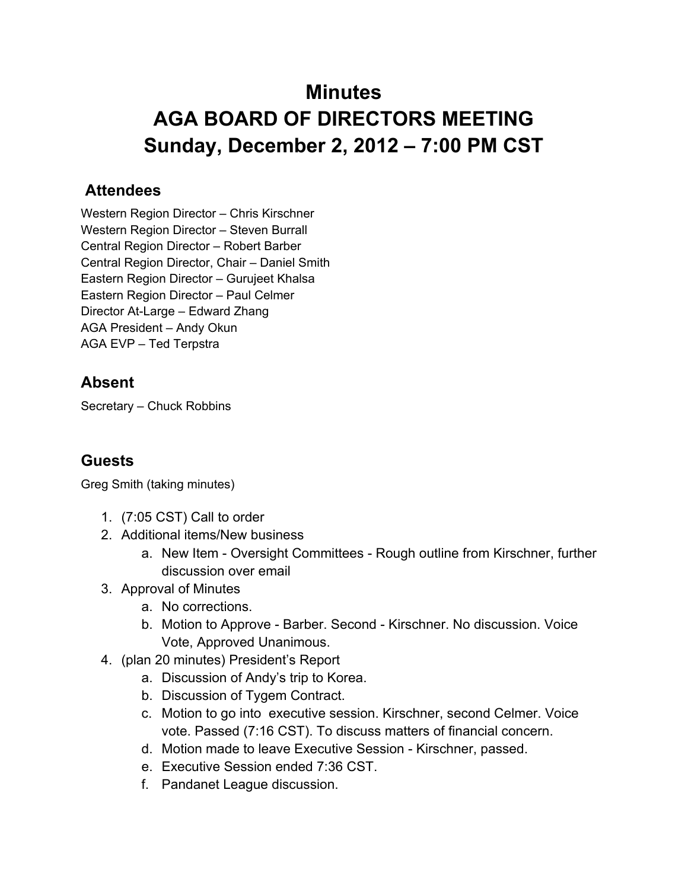## **Minutes AGA BOARD OF DIRECTORS MEETING Sunday, December 2, 2012 – 7:00 PM CST**

## **Attendees**

Western Region Director – Chris Kirschner Western Region Director – Steven Burrall Central Region Director – Robert Barber Central Region Director, Chair – Daniel Smith Eastern Region Director – Gurujeet Khalsa Eastern Region Director – Paul Celmer Director At-Large – Edward Zhang AGA President – Andy Okun AGA EVP – Ted Terpstra

## **Absent**

Secretary – Chuck Robbins

## **Guests**

Greg Smith (taking minutes)

- 1. (7:05 CST) Call to order
- 2. Additional items/New business
	- a. New Item Oversight Committees Rough outline from Kirschner, further discussion over email
- 3. Approval of Minutes
	- a. No corrections.
	- b. Motion to Approve Barber. Second Kirschner. No discussion. Voice Vote, Approved Unanimous.
- 4. (plan 20 minutes) President's Report
	- a. Discussion of Andy's trip to Korea.
	- b. Discussion of Tygem Contract.
	- c. Motion to go into executive session. Kirschner, second Celmer. Voice vote. Passed (7:16 CST). To discuss matters of financial concern.
	- d. Motion made to leave Executive Session Kirschner, passed.
	- e. Executive Session ended 7:36 CST.
	- f. Pandanet League discussion.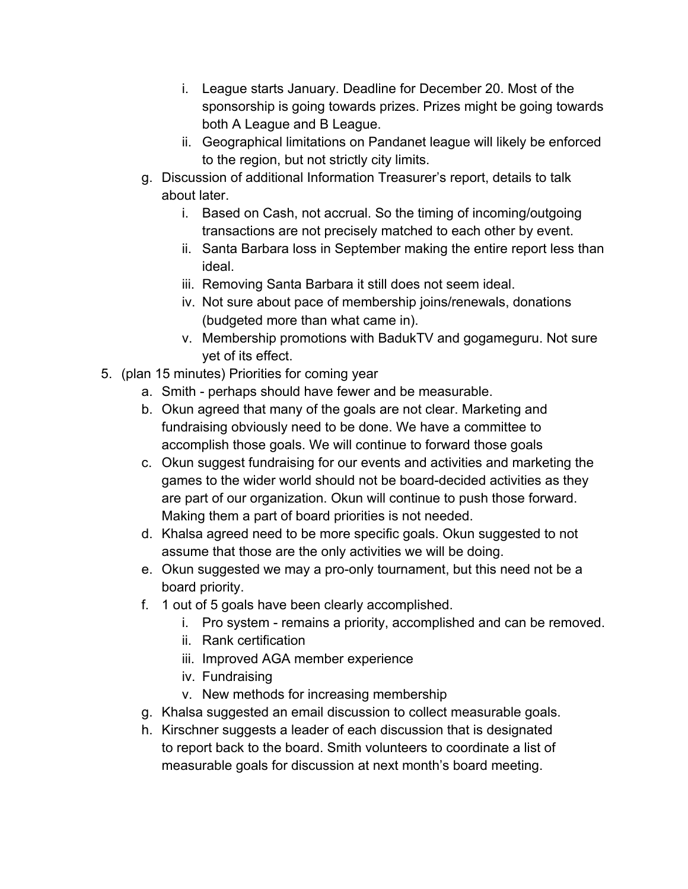- i. League starts January. Deadline for December 20. Most of the sponsorship is going towards prizes. Prizes might be going towards both A League and B League.
- ii. Geographical limitations on Pandanet league will likely be enforced to the region, but not strictly city limits.
- g. Discussion of additional Information Treasurer's report, details to talk about later.
	- i. Based on Cash, not accrual. So the timing of incoming/outgoing transactions are not precisely matched to each other by event.
	- ii. Santa Barbara loss in September making the entire report less than ideal.
	- iii. Removing Santa Barbara it still does not seem ideal.
	- iv. Not sure about pace of membership joins/renewals, donations (budgeted more than what came in).
	- v. Membership promotions with BadukTV and gogameguru. Not sure yet of its effect.
- 5. (plan 15 minutes) Priorities for coming year
	- a. Smith perhaps should have fewer and be measurable.
	- b. Okun agreed that many of the goals are not clear. Marketing and fundraising obviously need to be done. We have a committee to accomplish those goals. We will continue to forward those goals
	- c. Okun suggest fundraising for our events and activities and marketing the games to the wider world should not be board-decided activities as they are part of our organization. Okun will continue to push those forward. Making them a part of board priorities is not needed.
	- d. Khalsa agreed need to be more specific goals. Okun suggested to not assume that those are the only activities we will be doing.
	- e. Okun suggested we may a pro-only tournament, but this need not be a board priority.
	- f. 1 out of 5 goals have been clearly accomplished.
		- i. Pro system remains a priority, accomplished and can be removed.
		- ii. Rank certification
		- iii. Improved AGA member experience
		- iv. Fundraising
		- v. New methods for increasing membership
	- g. Khalsa suggested an email discussion to collect measurable goals.
	- h. Kirschner suggests a leader of each discussion that is designated to report back to the board. Smith volunteers to coordinate a list of measurable goals for discussion at next month's board meeting.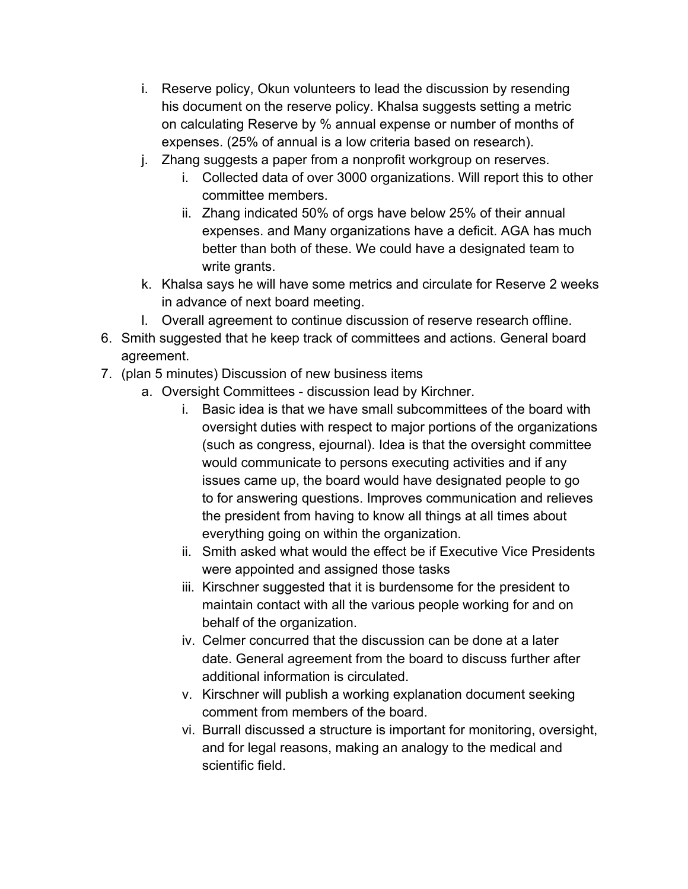- i. Reserve policy, Okun volunteers to lead the discussion by resending his document on the reserve policy. Khalsa suggests setting a metric on calculating Reserve by % annual expense or number of months of expenses. (25% of annual is a low criteria based on research).
- j. Zhang suggests a paper from a nonprofit workgroup on reserves.
	- i. Collected data of over 3000 organizations. Will report this to other committee members.
	- ii. Zhang indicated 50% of orgs have below 25% of their annual expenses. and Many organizations have a deficit. AGA has much better than both of these. We could have a designated team to write grants.
- k. Khalsa says he will have some metrics and circulate for Reserve 2 weeks in advance of next board meeting.
- l. Overall agreement to continue discussion of reserve research offline.
- 6. Smith suggested that he keep track of committees and actions. General board agreement.
- 7. (plan 5 minutes) Discussion of new business items
	- a. Oversight Committees discussion lead by Kirchner.
		- i. Basic idea is that we have small subcommittees of the board with oversight duties with respect to major portions of the organizations (such as congress, ejournal). Idea is that the oversight committee would communicate to persons executing activities and if any issues came up, the board would have designated people to go to for answering questions. Improves communication and relieves the president from having to know all things at all times about everything going on within the organization.
		- ii. Smith asked what would the effect be if Executive Vice Presidents were appointed and assigned those tasks
		- iii. Kirschner suggested that it is burdensome for the president to maintain contact with all the various people working for and on behalf of the organization.
		- iv. Celmer concurred that the discussion can be done at a later date. General agreement from the board to discuss further after additional information is circulated.
		- v. Kirschner will publish a working explanation document seeking comment from members of the board.
		- vi. Burrall discussed a structure is important for monitoring, oversight, and for legal reasons, making an analogy to the medical and scientific field.